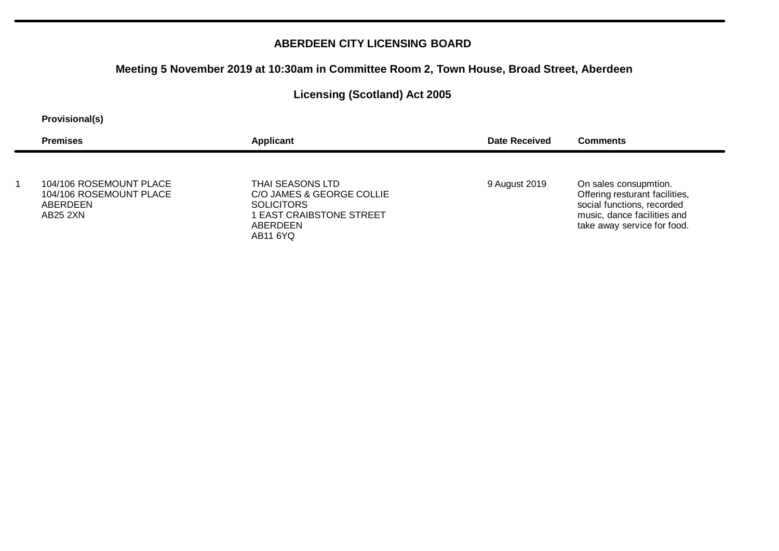# **Meeting 5 November 2019 at 10:30am in Committee Room 2, Town House, Broad Street, Aberdeen**

# **Licensing (Scotland) Act 2005**

#### **Provisional(s)**

| <b>Premises</b>                                                            | Applicant                                                                                                                     | Date Received | Comments                                                                                                                                            |
|----------------------------------------------------------------------------|-------------------------------------------------------------------------------------------------------------------------------|---------------|-----------------------------------------------------------------------------------------------------------------------------------------------------|
| 104/106 ROSEMOUNT PLACE<br>104/106 ROSEMOUNT PLACE<br>ABERDEEN<br>AB25 2XN | <b>THAI SEASONS LTD</b><br>C/O JAMES & GEORGE COLLIE<br><b>SOLICITORS</b><br>I EAST CRAIBSTONE STREET<br>ABERDEEN<br>AB11 6YQ | 9 August 2019 | On sales consupmtion.<br>Offering resturant facilities,<br>social functions, recorded<br>music, dance facilities and<br>take away service for food. |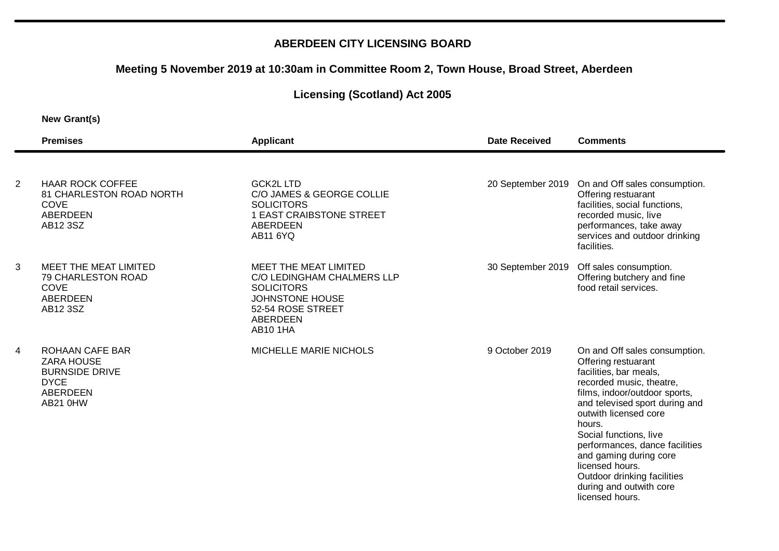# **Meeting 5 November 2019 at 10:30am in Committee Room 2, Town House, Broad Street, Aberdeen**

# **Licensing (Scotland) Act 2005**

#### **New Grant(s)**

|                | <b>Premises</b>                                                                                             | <b>Applicant</b>                                                                                                                                              | <b>Date Received</b> | <b>Comments</b>                                                                                                                                                                                                                                                                                                                                                                                        |
|----------------|-------------------------------------------------------------------------------------------------------------|---------------------------------------------------------------------------------------------------------------------------------------------------------------|----------------------|--------------------------------------------------------------------------------------------------------------------------------------------------------------------------------------------------------------------------------------------------------------------------------------------------------------------------------------------------------------------------------------------------------|
|                |                                                                                                             |                                                                                                                                                               |                      |                                                                                                                                                                                                                                                                                                                                                                                                        |
| $\overline{2}$ | <b>HAAR ROCK COFFEE</b><br>81 CHARLESTON ROAD NORTH<br><b>COVE</b><br><b>ABERDEEN</b><br>AB12 3SZ           | <b>GCK2L LTD</b><br>C/O JAMES & GEORGE COLLIE<br><b>SOLICITORS</b><br>1 EAST CRAIBSTONE STREET<br><b>ABERDEEN</b><br>AB11 6YQ                                 |                      | 20 September 2019 On and Off sales consumption.<br>Offering restuarant<br>facilities, social functions,<br>recorded music, live<br>performances, take away<br>services and outdoor drinking<br>facilities.                                                                                                                                                                                             |
| 3              | <b>MEET THE MEAT LIMITED</b><br><b>79 CHARLESTON ROAD</b><br>COVE<br><b>ABERDEEN</b><br>AB12 3SZ            | MEET THE MEAT LIMITED<br>C/O LEDINGHAM CHALMERS LLP<br><b>SOLICITORS</b><br><b>JOHNSTONE HOUSE</b><br>52-54 ROSE STREET<br><b>ABERDEEN</b><br><b>AB10 1HA</b> | 30 September 2019    | Off sales consumption.<br>Offering butchery and fine<br>food retail services.                                                                                                                                                                                                                                                                                                                          |
| 4              | ROHAAN CAFE BAR<br><b>ZARA HOUSE</b><br><b>BURNSIDE DRIVE</b><br><b>DYCE</b><br><b>ABERDEEN</b><br>AB21 0HW | MICHELLE MARIE NICHOLS                                                                                                                                        | 9 October 2019       | On and Off sales consumption.<br>Offering restuarant<br>facilities, bar meals,<br>recorded music, theatre,<br>films, indoor/outdoor sports,<br>and televised sport during and<br>outwith licensed core<br>hours.<br>Social functions, live<br>performances, dance facilities<br>and gaming during core<br>licensed hours.<br>Outdoor drinking facilities<br>during and outwith core<br>licensed hours. |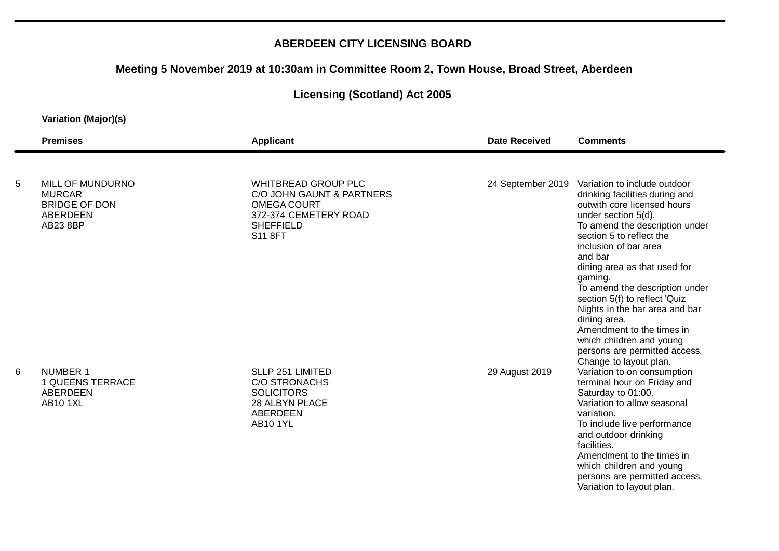# **Meeting 5 November 2019 at 10:30am in Committee Room 2, Town House, Broad Street, Aberdeen**

# **Licensing (Scotland) Act 2005**

#### **Variation (Major)(s)**

|   | <b>Premises</b>                                                                                 | <b>Applicant</b>                                                                                                                      | <b>Date Received</b> | <b>Comments</b>                                                                                                                                                                                                                                                                                                                                                                                                                                                                                                                                                                                                                                                                                                                                                                                                                          |
|---|-------------------------------------------------------------------------------------------------|---------------------------------------------------------------------------------------------------------------------------------------|----------------------|------------------------------------------------------------------------------------------------------------------------------------------------------------------------------------------------------------------------------------------------------------------------------------------------------------------------------------------------------------------------------------------------------------------------------------------------------------------------------------------------------------------------------------------------------------------------------------------------------------------------------------------------------------------------------------------------------------------------------------------------------------------------------------------------------------------------------------------|
|   |                                                                                                 |                                                                                                                                       |                      |                                                                                                                                                                                                                                                                                                                                                                                                                                                                                                                                                                                                                                                                                                                                                                                                                                          |
| 5 | <b>MILL OF MUNDURNO</b><br><b>MURCAR</b><br><b>BRIDGE OF DON</b><br><b>ABERDEEN</b><br>AB23 8BP | <b>WHITBREAD GROUP PLC</b><br>C/O JOHN GAUNT & PARTNERS<br><b>OMEGA COURT</b><br>372-374 CEMETERY ROAD<br><b>SHEFFIELD</b><br>S11 8FT | 24 September 2019    | Variation to include outdoor<br>drinking facilities during and<br>outwith core licensed hours<br>under section 5(d).<br>To amend the description under<br>section 5 to reflect the<br>inclusion of bar area<br>and bar<br>dining area as that used for<br>gaming.<br>To amend the description under<br>section 5(f) to reflect 'Quiz<br>Nights in the bar area and bar<br>dining area.<br>Amendment to the times in<br>which children and young<br>persons are permitted access.<br>Change to layout plan.<br>Variation to on consumption<br>terminal hour on Friday and<br>Saturday to 01:00.<br>Variation to allow seasonal<br>variation.<br>To include live performance<br>and outdoor drinking<br>facilities.<br>Amendment to the times in<br>which children and young<br>persons are permitted access.<br>Variation to layout plan. |
| 6 | <b>NUMBER 1</b><br><b>1 QUEENS TERRACE</b><br>ABERDEEN<br><b>AB10 1XL</b>                       | SLLP 251 LIMITED<br><b>C/O STRONACHS</b><br><b>SOLICITORS</b><br>28 ALBYN PLACE<br><b>ABERDEEN</b><br><b>AB10 1YL</b>                 | 29 August 2019       |                                                                                                                                                                                                                                                                                                                                                                                                                                                                                                                                                                                                                                                                                                                                                                                                                                          |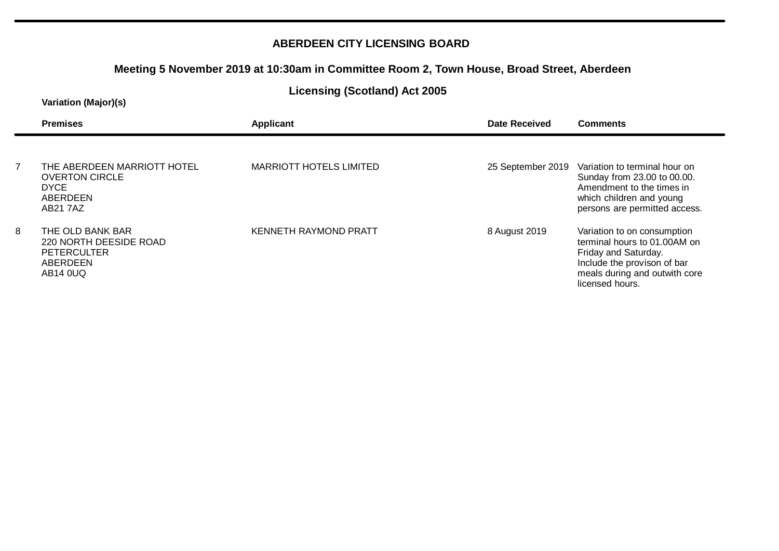# **Meeting 5 November 2019 at 10:30am in Committee Room 2, Town House, Broad Street, Aberdeen**

## **Licensing (Scotland) Act 2005**

**Variation (Major)(s)**

|   | <b>Premises</b>                                                                          | <b>Applicant</b>               | Date Received | <b>Comments</b>                                                                                                                                                          |
|---|------------------------------------------------------------------------------------------|--------------------------------|---------------|--------------------------------------------------------------------------------------------------------------------------------------------------------------------------|
|   | THE ABERDEEN MARRIOTT HOTEL                                                              | <b>MARRIOTT HOTELS LIMITED</b> |               | 25 September 2019 Variation to terminal hour on<br>Sunday from 23.00 to 00.00.<br>Amendment to the times in<br>which children and young<br>persons are permitted access. |
|   | <b>OVERTON CIRCLE</b><br><b>DYCE</b><br>ABERDEEN<br><b>AB21 7AZ</b>                      |                                |               |                                                                                                                                                                          |
| 8 | THE OLD BANK BAR<br>220 NORTH DEESIDE ROAD<br><b>PETERCULTER</b><br>ABERDEEN<br>AB14 0UQ | <b>KENNETH RAYMOND PRATT</b>   | 8 August 2019 | Variation to on consumption<br>terminal hours to 01,00AM on<br>Friday and Saturday.<br>Include the provison of bar<br>meals during and outwith core<br>licensed hours.   |